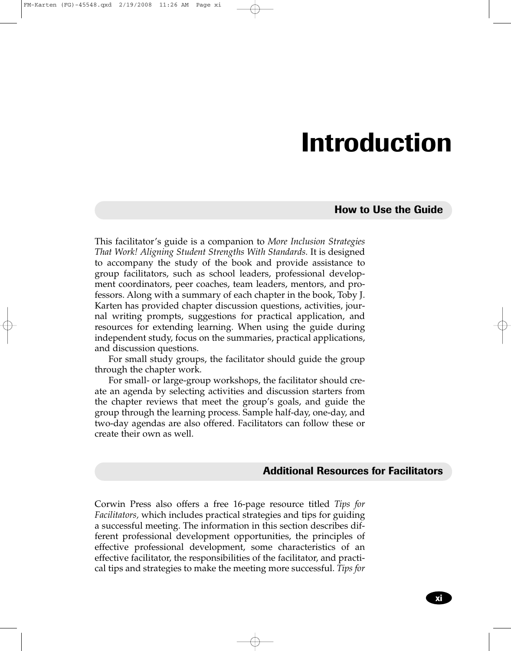## **Introduction**

**How to Use the Guide**

This facilitator's guide is a companion to *More Inclusion Strategies That Work! Aligning Student Strengths With Standards.* It is designed to accompany the study of the book and provide assistance to group facilitators, such as school leaders, professional development coordinators, peer coaches, team leaders, mentors, and professors. Along with a summary of each chapter in the book, Toby J. Karten has provided chapter discussion questions, activities, journal writing prompts, suggestions for practical application, and resources for extending learning. When using the guide during independent study, focus on the summaries, practical applications, and discussion questions.

For small study groups, the facilitator should guide the group through the chapter work.

For small- or large-group workshops, the facilitator should create an agenda by selecting activities and discussion starters from the chapter reviews that meet the group's goals, and guide the group through the learning process. Sample half-day, one-day, and two-day agendas are also offered. Facilitators can follow these or create their own as well.

## **Additional Resources for Facilitators**

Corwin Press also offers a free 16-page resource titled *Tips for Facilitators,* which includes practical strategies and tips for guiding a successful meeting. The information in this section describes different professional development opportunities, the principles of effective professional development, some characteristics of an effective facilitator, the responsibilities of the facilitator, and practical tips and strategies to make the meeting more successful. *Tips for*